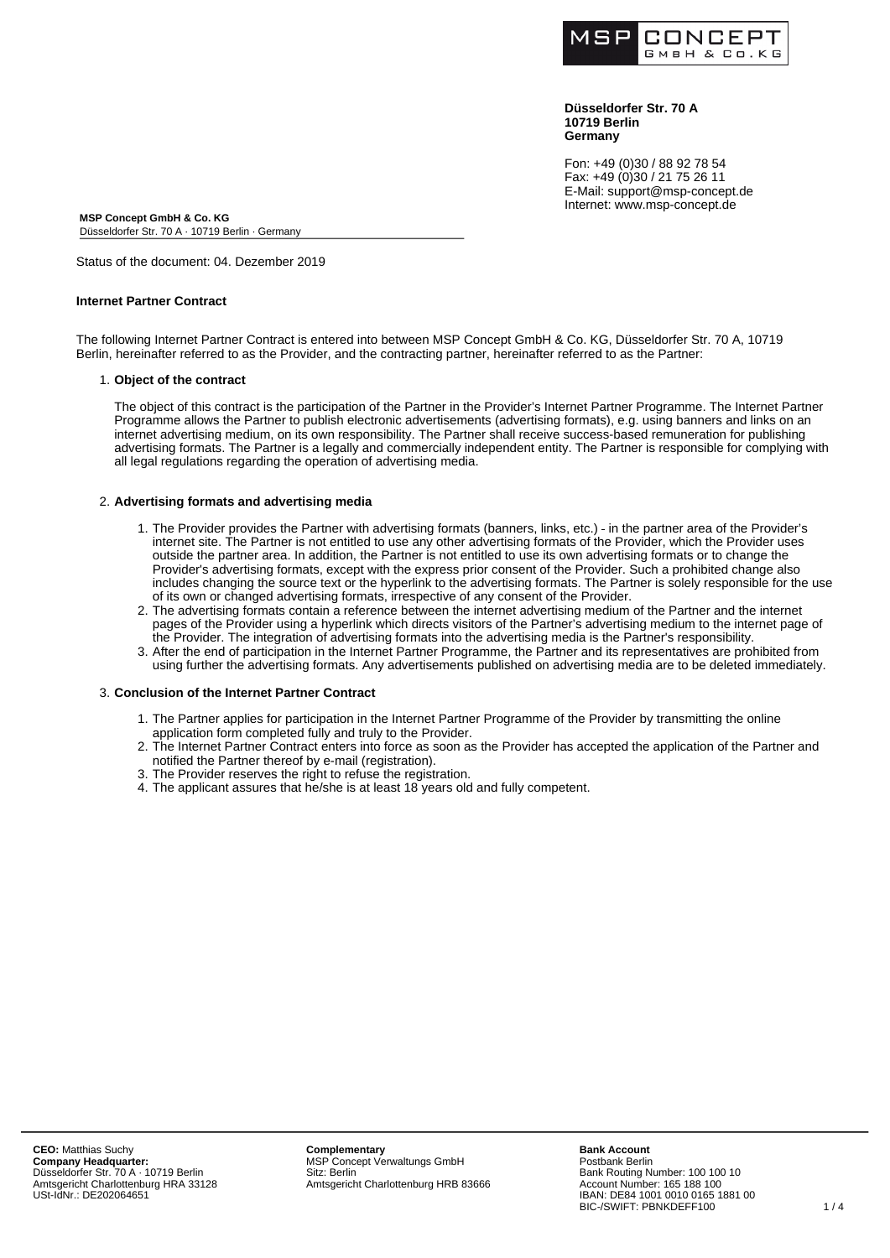

**Düsseldorfer Str. 70 A 10719 Berlin Germany**

Fon: +49 (0)30 / 88 92 78 54 Fax: +49 (0)30 / 21 75 26 11 E-Mail: support@msp-concept.de Internet: www.msp-concept.de

**MSP Concept GmbH & Co. KG** Düsseldorfer Str. 70 A · 10719 Berlin · Germany

Status of the document: 04. Dezember 2019

## **Internet Partner Contract**

The following Internet Partner Contract is entered into between MSP Concept GmbH & Co. KG, Düsseldorfer Str. 70 A, 10719 Berlin, hereinafter referred to as the Provider, and the contracting partner, hereinafter referred to as the Partner:

#### 1. **Object of the contract**

The object of this contract is the participation of the Partner in the Provider's Internet Partner Programme. The Internet Partner Programme allows the Partner to publish electronic advertisements (advertising formats), e.g. using banners and links on an internet advertising medium, on its own responsibility. The Partner shall receive success-based remuneration for publishing advertising formats. The Partner is a legally and commercially independent entity. The Partner is responsible for complying with all legal regulations regarding the operation of advertising media.

### 2. **Advertising formats and advertising media**

- 1. The Provider provides the Partner with advertising formats (banners, links, etc.) in the partner area of the Provider's internet site. The Partner is not entitled to use any other advertising formats of the Provider, which the Provider uses outside the partner area. In addition, the Partner is not entitled to use its own advertising formats or to change the Provider's advertising formats, except with the express prior consent of the Provider. Such a prohibited change also includes changing the source text or the hyperlink to the advertising formats. The Partner is solely responsible for the use of its own or changed advertising formats, irrespective of any consent of the Provider.
- 2. The advertising formats contain a reference between the internet advertising medium of the Partner and the internet pages of the Provider using a hyperlink which directs visitors of the Partner's advertising medium to the internet page of the Provider. The integration of advertising formats into the advertising media is the Partner's responsibility.
- 3. After the end of participation in the Internet Partner Programme, the Partner and its representatives are prohibited from using further the advertising formats. Any advertisements published on advertising media are to be deleted immediately.

## 3. **Conclusion of the Internet Partner Contract**

- 1. The Partner applies for participation in the Internet Partner Programme of the Provider by transmitting the online application form completed fully and truly to the Provider.
- 2. The Internet Partner Contract enters into force as soon as the Provider has accepted the application of the Partner and notified the Partner thereof by e-mail (registration).
- 3. The Provider reserves the right to refuse the registration.
- 4. The applicant assures that he/she is at least 18 years old and fully competent.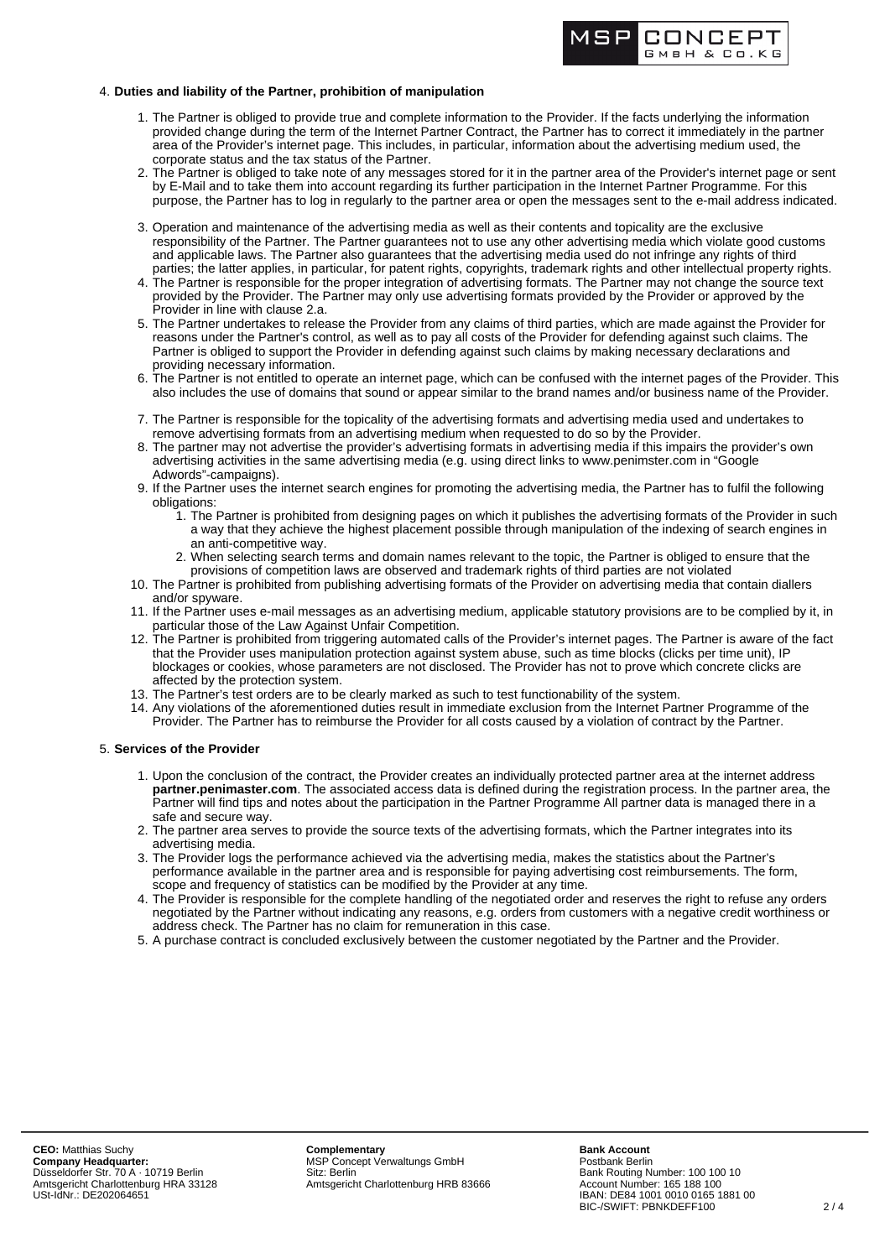

## 4. **Duties and liability of the Partner, prohibition of manipulation**

- 1. The Partner is obliged to provide true and complete information to the Provider. If the facts underlying the information provided change during the term of the Internet Partner Contract, the Partner has to correct it immediately in the partner area of the Provider's internet page. This includes, in particular, information about the advertising medium used, the corporate status and the tax status of the Partner.
- 2. The Partner is obliged to take note of any messages stored for it in the partner area of the Provider's internet page or sent by E-Mail and to take them into account regarding its further participation in the Internet Partner Programme. For this purpose, the Partner has to log in regularly to the partner area or open the messages sent to the e-mail address indicated.
- 3. Operation and maintenance of the advertising media as well as their contents and topicality are the exclusive responsibility of the Partner. The Partner guarantees not to use any other advertising media which violate good customs and applicable laws. The Partner also guarantees that the advertising media used do not infringe any rights of third parties; the latter applies, in particular, for patent rights, copyrights, trademark rights and other intellectual property rights.
- 4. The Partner is responsible for the proper integration of advertising formats. The Partner may not change the source text provided by the Provider. The Partner may only use advertising formats provided by the Provider or approved by the Provider in line with clause 2.a.
- 5. The Partner undertakes to release the Provider from any claims of third parties, which are made against the Provider for reasons under the Partner's control, as well as to pay all costs of the Provider for defending against such claims. The Partner is obliged to support the Provider in defending against such claims by making necessary declarations and providing necessary information.
- 6. The Partner is not entitled to operate an internet page, which can be confused with the internet pages of the Provider. This also includes the use of domains that sound or appear similar to the brand names and/or business name of the Provider.
- 7. The Partner is responsible for the topicality of the advertising formats and advertising media used and undertakes to remove advertising formats from an advertising medium when requested to do so by the Provider.
- 8. The partner may not advertise the provider's advertising formats in advertising media if this impairs the provider's own advertising activities in the same advertising media (e.g. using direct links to www.penimster.com in "Google Adwords"-campaigns).
- 9. If the Partner uses the internet search engines for promoting the advertising media, the Partner has to fulfil the following obligations:
	- 1. The Partner is prohibited from designing pages on which it publishes the advertising formats of the Provider in such a way that they achieve the highest placement possible through manipulation of the indexing of search engines in an anti-competitive way.
	- 2. When selecting search terms and domain names relevant to the topic, the Partner is obliged to ensure that the provisions of competition laws are observed and trademark rights of third parties are not violated
- 10. The Partner is prohibited from publishing advertising formats of the Provider on advertising media that contain diallers and/or spyware.
- 11. If the Partner uses e-mail messages as an advertising medium, applicable statutory provisions are to be complied by it, in particular those of the Law Against Unfair Competition.
- 12. The Partner is prohibited from triggering automated calls of the Provider's internet pages. The Partner is aware of the fact that the Provider uses manipulation protection against system abuse, such as time blocks (clicks per time unit), IP blockages or cookies, whose parameters are not disclosed. The Provider has not to prove which concrete clicks are affected by the protection system.
- 13. The Partner's test orders are to be clearly marked as such to test functionability of the system.
- 14. Any violations of the aforementioned duties result in immediate exclusion from the Internet Partner Programme of the Provider. The Partner has to reimburse the Provider for all costs caused by a violation of contract by the Partner.

### 5. **Services of the Provider**

- 1. Upon the conclusion of the contract, the Provider creates an individually protected partner area at the internet address **partner.penimaster.com**. The associated access data is defined during the registration process. In the partner area, the Partner will find tips and notes about the participation in the Partner Programme All partner data is managed there in a safe and secure way.
- 2. The partner area serves to provide the source texts of the advertising formats, which the Partner integrates into its advertising media.
- 3. The Provider logs the performance achieved via the advertising media, makes the statistics about the Partner's performance available in the partner area and is responsible for paying advertising cost reimbursements. The form, scope and frequency of statistics can be modified by the Provider at any time.
- 4. The Provider is responsible for the complete handling of the negotiated order and reserves the right to refuse any orders negotiated by the Partner without indicating any reasons, e.g. orders from customers with a negative credit worthiness or address check. The Partner has no claim for remuneration in this case.
- 5. A purchase contract is concluded exclusively between the customer negotiated by the Partner and the Provider.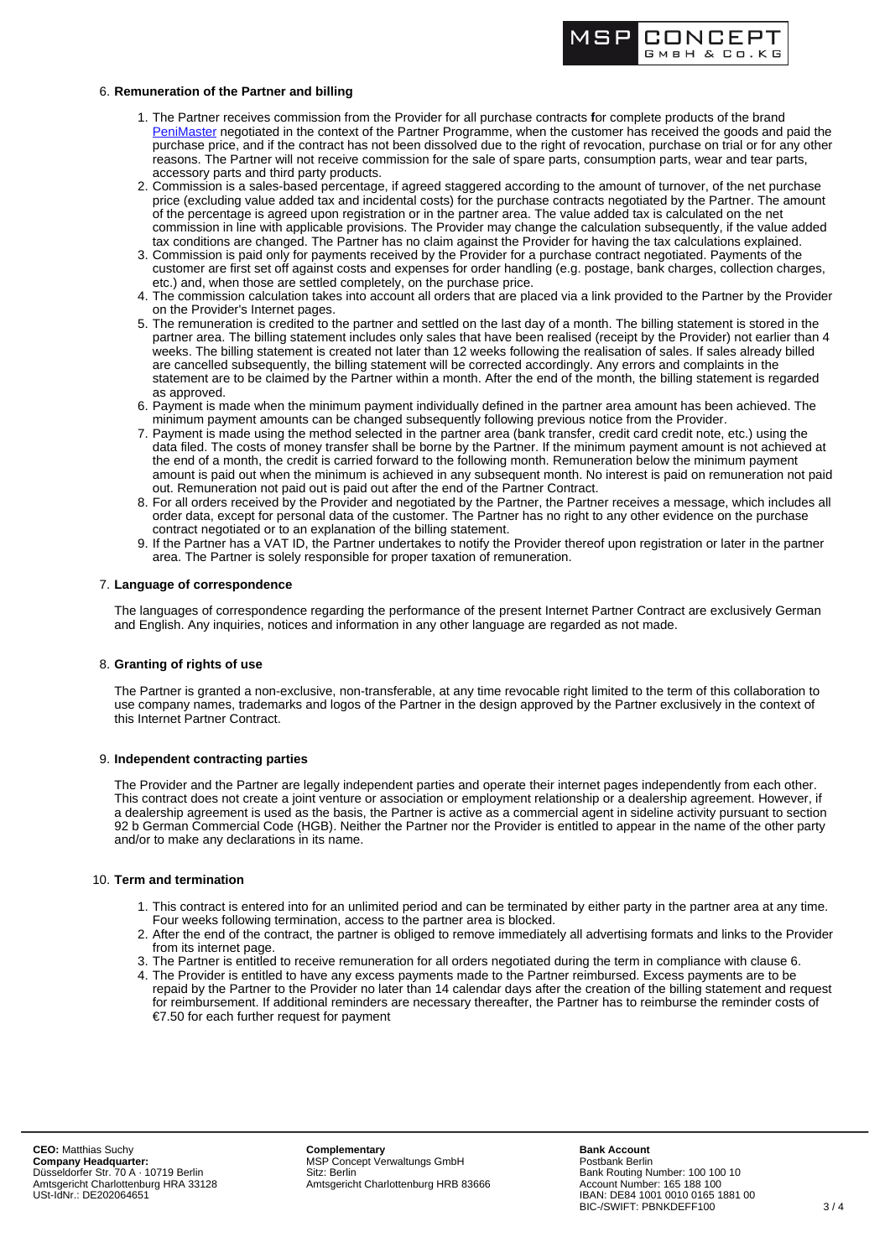

# 6. **Remuneration of the Partner and billing**

- 1. The Partner receives commission from the Provider for all purchase contracts **f**or complete products of the brand [PeniMaster](https://www.penimaster.com) negotiated in the context of the Partner Programme, when the customer has received the goods and paid the purchase price, and if the contract has not been dissolved due to the right of revocation, purchase on trial or for any other reasons. The Partner will not receive commission for the sale of spare parts, consumption parts, wear and tear parts, accessory parts and third party products.
- 2. Commission is a sales-based percentage, if agreed staggered according to the amount of turnover, of the net purchase price (excluding value added tax and incidental costs) for the purchase contracts negotiated by the Partner. The amount of the percentage is agreed upon registration or in the partner area. The value added tax is calculated on the net commission in line with applicable provisions. The Provider may change the calculation subsequently, if the value added tax conditions are changed. The Partner has no claim against the Provider for having the tax calculations explained.
- 3. Commission is paid only for payments received by the Provider for a purchase contract negotiated. Payments of the customer are first set off against costs and expenses for order handling (e.g. postage, bank charges, collection charges, etc.) and, when those are settled completely, on the purchase price.
- 4. The commission calculation takes into account all orders that are placed via a link provided to the Partner by the Provider on the Provider's Internet pages.
- 5. The remuneration is credited to the partner and settled on the last day of a month. The billing statement is stored in the partner area. The billing statement includes only sales that have been realised (receipt by the Provider) not earlier than 4 weeks. The billing statement is created not later than 12 weeks following the realisation of sales. If sales already billed are cancelled subsequently, the billing statement will be corrected accordingly. Any errors and complaints in the statement are to be claimed by the Partner within a month. After the end of the month, the billing statement is regarded as approved.
- 6. Payment is made when the minimum payment individually defined in the partner area amount has been achieved. The minimum payment amounts can be changed subsequently following previous notice from the Provider.
- 7. Payment is made using the method selected in the partner area (bank transfer, credit card credit note, etc.) using the data filed. The costs of money transfer shall be borne by the Partner. If the minimum payment amount is not achieved at the end of a month, the credit is carried forward to the following month. Remuneration below the minimum payment amount is paid out when the minimum is achieved in any subsequent month. No interest is paid on remuneration not paid out. Remuneration not paid out is paid out after the end of the Partner Contract.
- 8. For all orders received by the Provider and negotiated by the Partner, the Partner receives a message, which includes all order data, except for personal data of the customer. The Partner has no right to any other evidence on the purchase contract negotiated or to an explanation of the billing statement.
- 9. If the Partner has a VAT ID, the Partner undertakes to notify the Provider thereof upon registration or later in the partner area. The Partner is solely responsible for proper taxation of remuneration.

## 7. **Language of correspondence**

The languages of correspondence regarding the performance of the present Internet Partner Contract are exclusively German and English. Any inquiries, notices and information in any other language are regarded as not made.

### 8. **Granting of rights of use**

The Partner is granted a non-exclusive, non-transferable, at any time revocable right limited to the term of this collaboration to use company names, trademarks and logos of the Partner in the design approved by the Partner exclusively in the context of this Internet Partner Contract.

### 9. **Independent contracting parties**

The Provider and the Partner are legally independent parties and operate their internet pages independently from each other. This contract does not create a joint venture or association or employment relationship or a dealership agreement. However, if a dealership agreement is used as the basis, the Partner is active as a commercial agent in sideline activity pursuant to section 92 b German Commercial Code (HGB). Neither the Partner nor the Provider is entitled to appear in the name of the other party and/or to make any declarations in its name.

### 10. **Term and termination**

- 1. This contract is entered into for an unlimited period and can be terminated by either party in the partner area at any time. Four weeks following termination, access to the partner area is blocked.
- 2. After the end of the contract, the partner is obliged to remove immediately all advertising formats and links to the Provider from its internet page.
- 3. The Partner is entitled to receive remuneration for all orders negotiated during the term in compliance with clause 6.
- 4. The Provider is entitled to have any excess payments made to the Partner reimbursed. Excess payments are to be repaid by the Partner to the Provider no later than 14 calendar days after the creation of the billing statement and request for reimbursement. If additional reminders are necessary thereafter, the Partner has to reimburse the reminder costs of €7.50 for each further request for payment